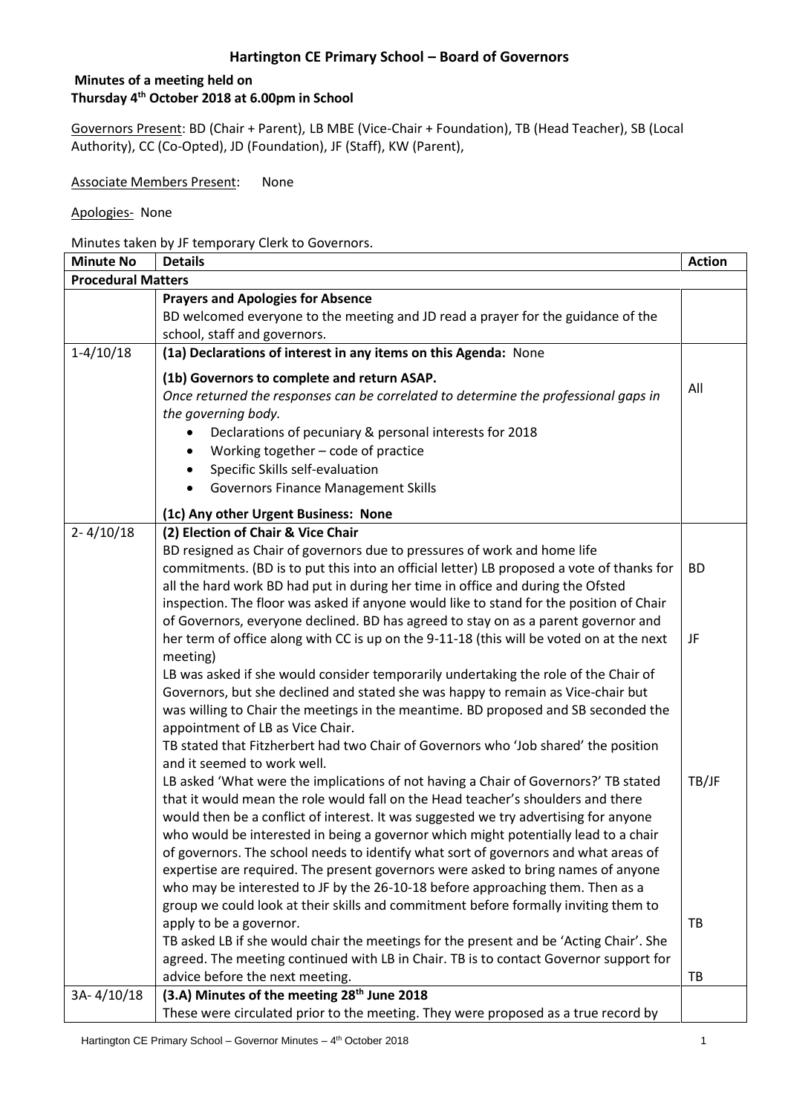#### **Minutes of a meeting held on Thursday 4 th October 2018 at 6.00pm in School**

Governors Present: BD (Chair + Parent), LB MBE (Vice-Chair + Foundation), TB (Head Teacher), SB (Local Authority), CC (Co-Opted), JD (Foundation), JF (Staff), KW (Parent),

Associate Members Present: None

Apologies- None

Minutes taken by JF temporary Clerk to Governors.

| <b>Minute No</b>          | <b>Details</b>                                                                                                                                                                                                                                                                                                                                                                                                                                                                                                                                                                                                                                                                                                                                                                                                                                                                                                            | <b>Action</b> |
|---------------------------|---------------------------------------------------------------------------------------------------------------------------------------------------------------------------------------------------------------------------------------------------------------------------------------------------------------------------------------------------------------------------------------------------------------------------------------------------------------------------------------------------------------------------------------------------------------------------------------------------------------------------------------------------------------------------------------------------------------------------------------------------------------------------------------------------------------------------------------------------------------------------------------------------------------------------|---------------|
| <b>Procedural Matters</b> |                                                                                                                                                                                                                                                                                                                                                                                                                                                                                                                                                                                                                                                                                                                                                                                                                                                                                                                           |               |
|                           | <b>Prayers and Apologies for Absence</b>                                                                                                                                                                                                                                                                                                                                                                                                                                                                                                                                                                                                                                                                                                                                                                                                                                                                                  |               |
|                           | BD welcomed everyone to the meeting and JD read a prayer for the guidance of the                                                                                                                                                                                                                                                                                                                                                                                                                                                                                                                                                                                                                                                                                                                                                                                                                                          |               |
|                           | school, staff and governors.                                                                                                                                                                                                                                                                                                                                                                                                                                                                                                                                                                                                                                                                                                                                                                                                                                                                                              |               |
| $1-4/10/18$               | (1a) Declarations of interest in any items on this Agenda: None                                                                                                                                                                                                                                                                                                                                                                                                                                                                                                                                                                                                                                                                                                                                                                                                                                                           |               |
|                           | (1b) Governors to complete and return ASAP.<br>Once returned the responses can be correlated to determine the professional gaps in<br>the governing body.<br>Declarations of pecuniary & personal interests for 2018<br>Working together - code of practice<br>Specific Skills self-evaluation<br><b>Governors Finance Management Skills</b>                                                                                                                                                                                                                                                                                                                                                                                                                                                                                                                                                                              | All           |
|                           | (1c) Any other Urgent Business: None                                                                                                                                                                                                                                                                                                                                                                                                                                                                                                                                                                                                                                                                                                                                                                                                                                                                                      |               |
| $2 - 4/10/18$             | (2) Election of Chair & Vice Chair<br>BD resigned as Chair of governors due to pressures of work and home life<br>commitments. (BD is to put this into an official letter) LB proposed a vote of thanks for<br>all the hard work BD had put in during her time in office and during the Ofsted<br>inspection. The floor was asked if anyone would like to stand for the position of Chair<br>of Governors, everyone declined. BD has agreed to stay on as a parent governor and                                                                                                                                                                                                                                                                                                                                                                                                                                           | <b>BD</b>     |
|                           | her term of office along with CC is up on the 9-11-18 (this will be voted on at the next<br>meeting)                                                                                                                                                                                                                                                                                                                                                                                                                                                                                                                                                                                                                                                                                                                                                                                                                      | JF            |
|                           | LB was asked if she would consider temporarily undertaking the role of the Chair of<br>Governors, but she declined and stated she was happy to remain as Vice-chair but<br>was willing to Chair the meetings in the meantime. BD proposed and SB seconded the<br>appointment of LB as Vice Chair.<br>TB stated that Fitzherbert had two Chair of Governors who 'Job shared' the position<br>and it seemed to work well.                                                                                                                                                                                                                                                                                                                                                                                                                                                                                                   |               |
|                           | LB asked 'What were the implications of not having a Chair of Governors?' TB stated<br>that it would mean the role would fall on the Head teacher's shoulders and there<br>would then be a conflict of interest. It was suggested we try advertising for anyone<br>who would be interested in being a governor which might potentially lead to a chair<br>of governors. The school needs to identify what sort of governors and what areas of<br>expertise are required. The present governors were asked to bring names of anyone<br>who may be interested to JF by the 26-10-18 before approaching them. Then as a<br>group we could look at their skills and commitment before formally inviting them to<br>apply to be a governor.<br>TB asked LB if she would chair the meetings for the present and be 'Acting Chair'. She<br>agreed. The meeting continued with LB in Chair. TB is to contact Governor support for | TB/JF<br>TB   |
|                           | advice before the next meeting.                                                                                                                                                                                                                                                                                                                                                                                                                                                                                                                                                                                                                                                                                                                                                                                                                                                                                           | TB            |
| 3A-4/10/18                | (3.A) Minutes of the meeting 28 <sup>th</sup> June 2018<br>These were circulated prior to the meeting. They were proposed as a true record by                                                                                                                                                                                                                                                                                                                                                                                                                                                                                                                                                                                                                                                                                                                                                                             |               |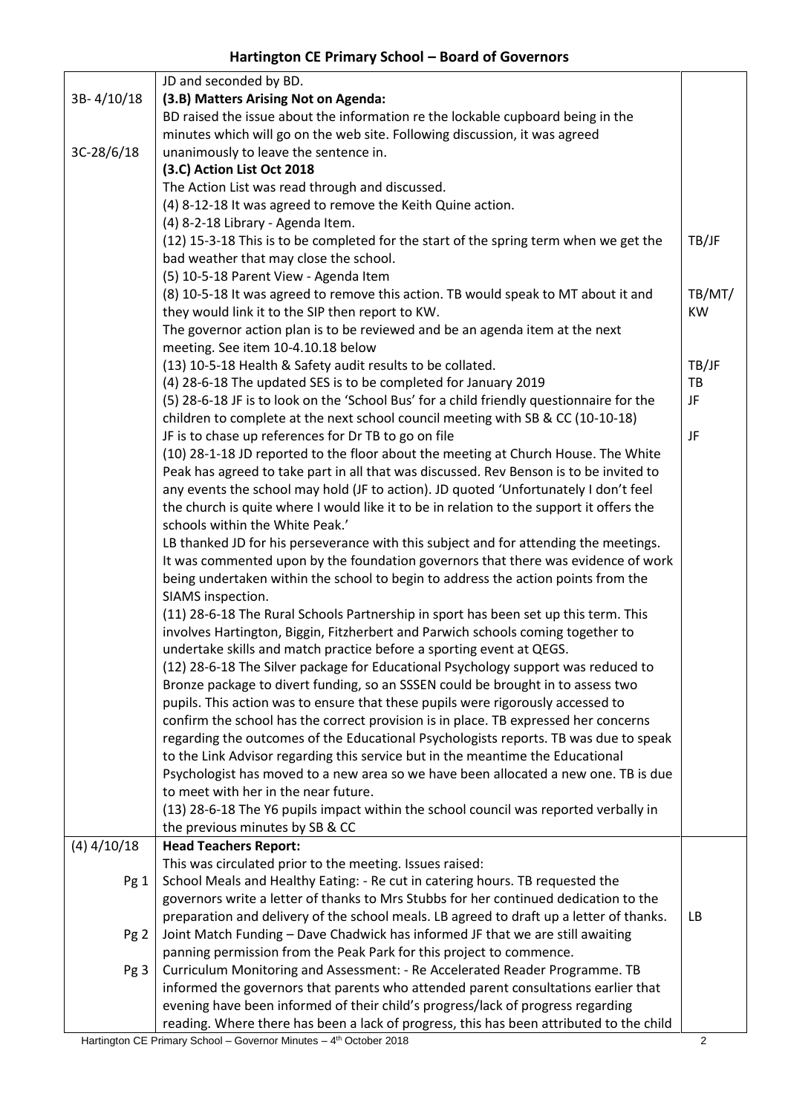| 3B-4/10/18      | JD and seconded by BD.<br>(3.B) Matters Arising Not on Agenda:                           |           |
|-----------------|------------------------------------------------------------------------------------------|-----------|
|                 | BD raised the issue about the information re the lockable cupboard being in the          |           |
|                 | minutes which will go on the web site. Following discussion, it was agreed               |           |
| $3C-28/6/18$    | unanimously to leave the sentence in.                                                    |           |
|                 | (3.C) Action List Oct 2018                                                               |           |
|                 | The Action List was read through and discussed.                                          |           |
|                 | (4) 8-12-18 It was agreed to remove the Keith Quine action.                              |           |
|                 | (4) 8-2-18 Library - Agenda Item.                                                        |           |
|                 | (12) 15-3-18 This is to be completed for the start of the spring term when we get the    | TB/JF     |
|                 | bad weather that may close the school.                                                   |           |
|                 | (5) 10-5-18 Parent View - Agenda Item                                                    |           |
|                 | (8) 10-5-18 It was agreed to remove this action. TB would speak to MT about it and       | TB/MT/    |
|                 | they would link it to the SIP then report to KW.                                         | <b>KW</b> |
|                 | The governor action plan is to be reviewed and be an agenda item at the next             |           |
|                 | meeting. See item 10-4.10.18 below                                                       |           |
|                 | (13) 10-5-18 Health & Safety audit results to be collated.                               | TB/JF     |
|                 | (4) 28-6-18 The updated SES is to be completed for January 2019                          | <b>TB</b> |
|                 | (5) 28-6-18 JF is to look on the 'School Bus' for a child friendly questionnaire for the | JF        |
|                 | children to complete at the next school council meeting with SB & CC (10-10-18)          |           |
|                 | JF is to chase up references for Dr TB to go on file                                     | JF        |
|                 | (10) 28-1-18 JD reported to the floor about the meeting at Church House. The White       |           |
|                 | Peak has agreed to take part in all that was discussed. Rev Benson is to be invited to   |           |
|                 | any events the school may hold (JF to action). JD quoted 'Unfortunately I don't feel     |           |
|                 | the church is quite where I would like it to be in relation to the support it offers the |           |
|                 | schools within the White Peak.'                                                          |           |
|                 | LB thanked JD for his perseverance with this subject and for attending the meetings.     |           |
|                 | It was commented upon by the foundation governors that there was evidence of work        |           |
|                 | being undertaken within the school to begin to address the action points from the        |           |
|                 | SIAMS inspection.                                                                        |           |
|                 | (11) 28-6-18 The Rural Schools Partnership in sport has been set up this term. This      |           |
|                 | involves Hartington, Biggin, Fitzherbert and Parwich schools coming together to          |           |
|                 | undertake skills and match practice before a sporting event at QEGS.                     |           |
|                 | (12) 28-6-18 The Silver package for Educational Psychology support was reduced to        |           |
|                 | Bronze package to divert funding, so an SSSEN could be brought in to assess two          |           |
|                 | pupils. This action was to ensure that these pupils were rigorously accessed to          |           |
|                 | confirm the school has the correct provision is in place. TB expressed her concerns      |           |
|                 | regarding the outcomes of the Educational Psychologists reports. TB was due to speak     |           |
|                 | to the Link Advisor regarding this service but in the meantime the Educational           |           |
|                 | Psychologist has moved to a new area so we have been allocated a new one. TB is due      |           |
|                 | to meet with her in the near future.                                                     |           |
|                 | (13) 28-6-18 The Y6 pupils impact within the school council was reported verbally in     |           |
| $(4)$ 4/10/18   | the previous minutes by SB & CC<br><b>Head Teachers Report:</b>                          |           |
|                 | This was circulated prior to the meeting. Issues raised:                                 |           |
| Pg 1            | School Meals and Healthy Eating: - Re cut in catering hours. TB requested the            |           |
|                 | governors write a letter of thanks to Mrs Stubbs for her continued dedication to the     |           |
|                 | preparation and delivery of the school meals. LB agreed to draft up a letter of thanks.  | LB        |
| Pg <sub>2</sub> | Joint Match Funding - Dave Chadwick has informed JF that we are still awaiting           |           |
|                 | panning permission from the Peak Park for this project to commence.                      |           |
| Pg 3            | Curriculum Monitoring and Assessment: - Re Accelerated Reader Programme. TB              |           |
|                 | informed the governors that parents who attended parent consultations earlier that       |           |
|                 | evening have been informed of their child's progress/lack of progress regarding          |           |
|                 | reading. Where there has been a lack of progress, this has been attributed to the child  |           |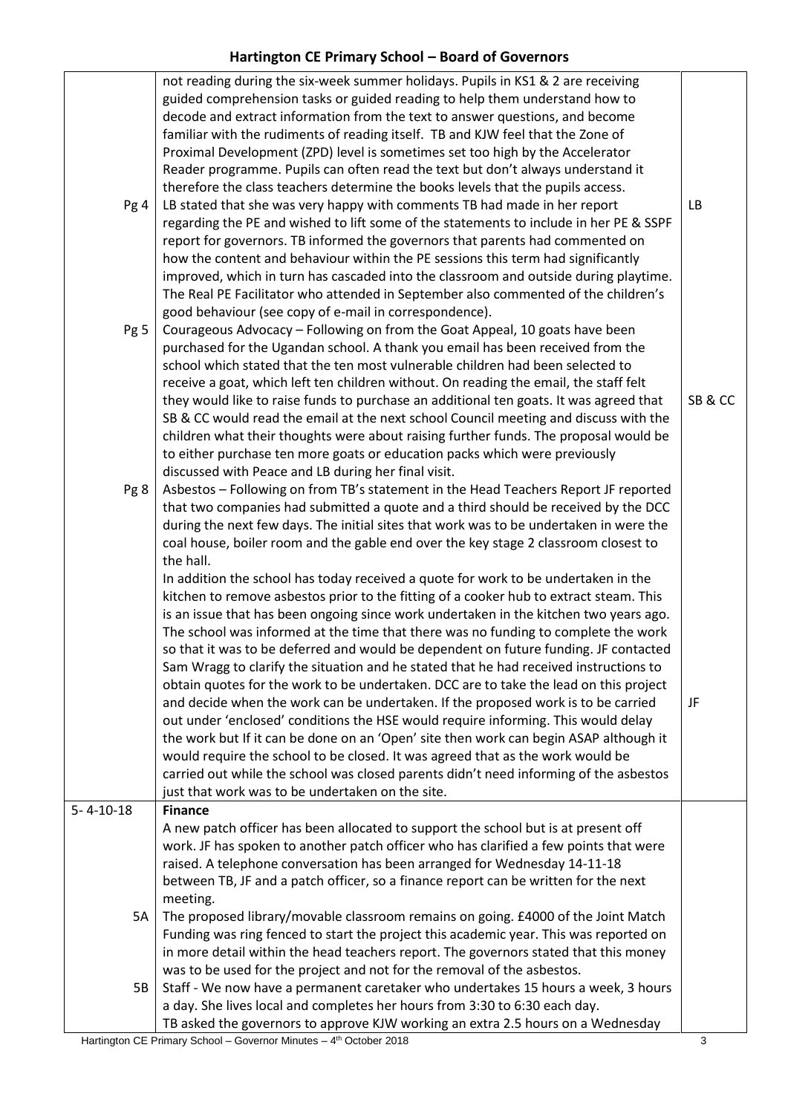|                   | not reading during the six-week summer holidays. Pupils in KS1 & 2 are receiving       |       |
|-------------------|----------------------------------------------------------------------------------------|-------|
|                   | guided comprehension tasks or guided reading to help them understand how to            |       |
|                   | decode and extract information from the text to answer questions, and become           |       |
|                   | familiar with the rudiments of reading itself. TB and KJW feel that the Zone of        |       |
|                   | Proximal Development (ZPD) level is sometimes set too high by the Accelerator          |       |
|                   |                                                                                        |       |
|                   | Reader programme. Pupils can often read the text but don't always understand it        |       |
|                   | therefore the class teachers determine the books levels that the pupils access.        |       |
| Pg 4              | LB stated that she was very happy with comments TB had made in her report              | LB    |
|                   | regarding the PE and wished to lift some of the statements to include in her PE & SSPF |       |
|                   | report for governors. TB informed the governors that parents had commented on          |       |
|                   | how the content and behaviour within the PE sessions this term had significantly       |       |
|                   | improved, which in turn has cascaded into the classroom and outside during playtime.   |       |
|                   | The Real PE Facilitator who attended in September also commented of the children's     |       |
|                   | good behaviour (see copy of e-mail in correspondence).                                 |       |
| Pg 5              | Courageous Advocacy - Following on from the Goat Appeal, 10 goats have been            |       |
|                   | purchased for the Ugandan school. A thank you email has been received from the         |       |
|                   | school which stated that the ten most vulnerable children had been selected to         |       |
|                   | receive a goat, which left ten children without. On reading the email, the staff felt  |       |
|                   | they would like to raise funds to purchase an additional ten goats. It was agreed that | SB&CC |
|                   | SB & CC would read the email at the next school Council meeting and discuss with the   |       |
|                   | children what their thoughts were about raising further funds. The proposal would be   |       |
|                   | to either purchase ten more goats or education packs which were previously             |       |
|                   | discussed with Peace and LB during her final visit.                                    |       |
| Pg 8              | Asbestos - Following on from TB's statement in the Head Teachers Report JF reported    |       |
|                   | that two companies had submitted a quote and a third should be received by the DCC     |       |
|                   | during the next few days. The initial sites that work was to be undertaken in were the |       |
|                   |                                                                                        |       |
|                   | coal house, boiler room and the gable end over the key stage 2 classroom closest to    |       |
|                   | the hall.                                                                              |       |
|                   | In addition the school has today received a quote for work to be undertaken in the     |       |
|                   | kitchen to remove asbestos prior to the fitting of a cooker hub to extract steam. This |       |
|                   | is an issue that has been ongoing since work undertaken in the kitchen two years ago.  |       |
|                   | The school was informed at the time that there was no funding to complete the work     |       |
|                   | so that it was to be deferred and would be dependent on future funding. JF contacted   |       |
|                   | Sam Wragg to clarify the situation and he stated that he had received instructions to  |       |
|                   | obtain quotes for the work to be undertaken. DCC are to take the lead on this project  |       |
|                   | and decide when the work can be undertaken. If the proposed work is to be carried      | JF    |
|                   | out under 'enclosed' conditions the HSE would require informing. This would delay      |       |
|                   | the work but If it can be done on an 'Open' site then work can begin ASAP although it  |       |
|                   | would require the school to be closed. It was agreed that as the work would be         |       |
|                   | carried out while the school was closed parents didn't need informing of the asbestos  |       |
|                   | just that work was to be undertaken on the site.                                       |       |
| $5 - 4 - 10 - 18$ | <b>Finance</b>                                                                         |       |
|                   | A new patch officer has been allocated to support the school but is at present off     |       |
|                   | work. JF has spoken to another patch officer who has clarified a few points that were  |       |
|                   | raised. A telephone conversation has been arranged for Wednesday 14-11-18              |       |
|                   | between TB, JF and a patch officer, so a finance report can be written for the next    |       |
|                   | meeting.                                                                               |       |
| 5A                | The proposed library/movable classroom remains on going. £4000 of the Joint Match      |       |
|                   | Funding was ring fenced to start the project this academic year. This was reported on  |       |
|                   | in more detail within the head teachers report. The governors stated that this money   |       |
|                   | was to be used for the project and not for the removal of the asbestos.                |       |
| 5B                | Staff - We now have a permanent caretaker who undertakes 15 hours a week, 3 hours      |       |
|                   |                                                                                        |       |
|                   | a day. She lives local and completes her hours from 3:30 to 6:30 each day.             |       |
|                   | TB asked the governors to approve KJW working an extra 2.5 hours on a Wednesday        |       |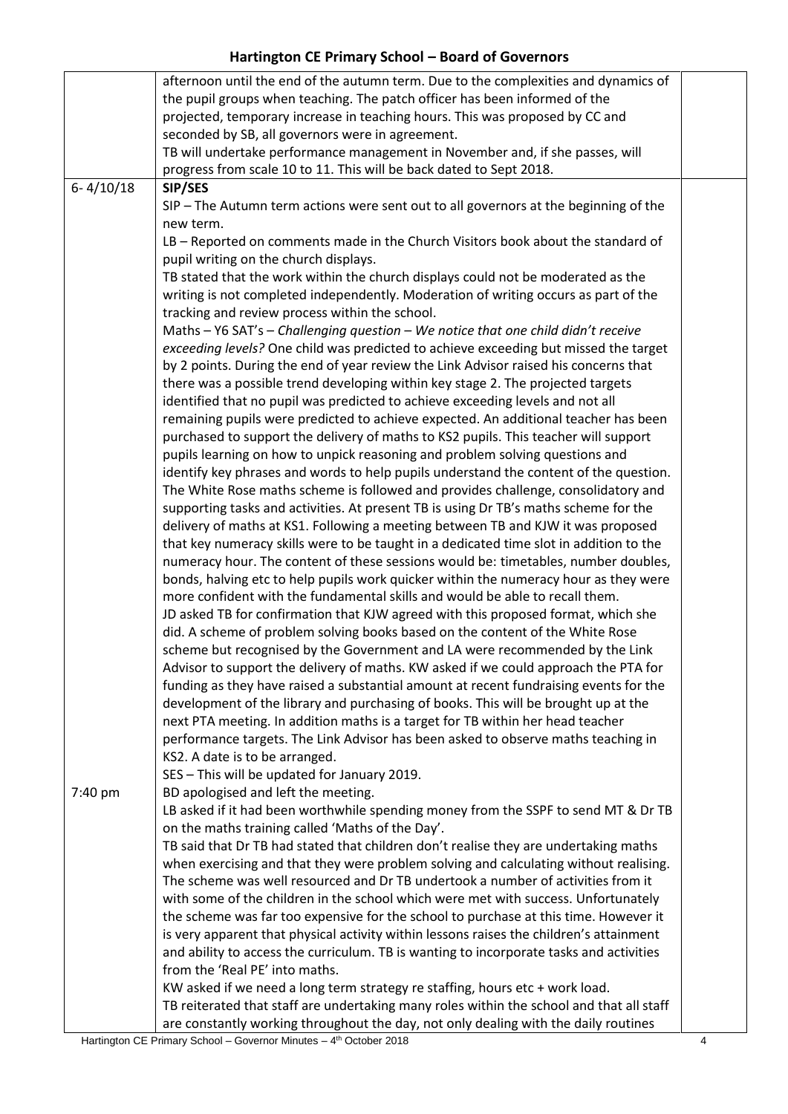|               | afternoon until the end of the autumn term. Due to the complexities and dynamics of      |  |
|---------------|------------------------------------------------------------------------------------------|--|
|               | the pupil groups when teaching. The patch officer has been informed of the               |  |
|               | projected, temporary increase in teaching hours. This was proposed by CC and             |  |
|               | seconded by SB, all governors were in agreement.                                         |  |
|               | TB will undertake performance management in November and, if she passes, will            |  |
|               |                                                                                          |  |
|               | progress from scale 10 to 11. This will be back dated to Sept 2018.                      |  |
| $6 - 4/10/18$ | SIP/SES                                                                                  |  |
|               | SIP - The Autumn term actions were sent out to all governors at the beginning of the     |  |
|               | new term.                                                                                |  |
|               | LB - Reported on comments made in the Church Visitors book about the standard of         |  |
|               | pupil writing on the church displays.                                                    |  |
|               | TB stated that the work within the church displays could not be moderated as the         |  |
|               | writing is not completed independently. Moderation of writing occurs as part of the      |  |
|               | tracking and review process within the school.                                           |  |
|               | Maths - Y6 SAT's - Challenging question - We notice that one child didn't receive        |  |
|               | exceeding levels? One child was predicted to achieve exceeding but missed the target     |  |
|               | by 2 points. During the end of year review the Link Advisor raised his concerns that     |  |
|               |                                                                                          |  |
|               | there was a possible trend developing within key stage 2. The projected targets          |  |
|               | identified that no pupil was predicted to achieve exceeding levels and not all           |  |
|               | remaining pupils were predicted to achieve expected. An additional teacher has been      |  |
|               | purchased to support the delivery of maths to KS2 pupils. This teacher will support      |  |
|               | pupils learning on how to unpick reasoning and problem solving questions and             |  |
|               | identify key phrases and words to help pupils understand the content of the question.    |  |
|               | The White Rose maths scheme is followed and provides challenge, consolidatory and        |  |
|               | supporting tasks and activities. At present TB is using Dr TB's maths scheme for the     |  |
|               | delivery of maths at KS1. Following a meeting between TB and KJW it was proposed         |  |
|               | that key numeracy skills were to be taught in a dedicated time slot in addition to the   |  |
|               | numeracy hour. The content of these sessions would be: timetables, number doubles,       |  |
|               | bonds, halving etc to help pupils work quicker within the numeracy hour as they were     |  |
|               | more confident with the fundamental skills and would be able to recall them.             |  |
|               |                                                                                          |  |
|               | JD asked TB for confirmation that KJW agreed with this proposed format, which she        |  |
|               | did. A scheme of problem solving books based on the content of the White Rose            |  |
|               | scheme but recognised by the Government and LA were recommended by the Link              |  |
|               | Advisor to support the delivery of maths. KW asked if we could approach the PTA for      |  |
|               | funding as they have raised a substantial amount at recent fundraising events for the    |  |
|               | development of the library and purchasing of books. This will be brought up at the       |  |
|               | next PTA meeting. In addition maths is a target for TB within her head teacher           |  |
|               | performance targets. The Link Advisor has been asked to observe maths teaching in        |  |
|               | KS2. A date is to be arranged.                                                           |  |
|               | SES - This will be updated for January 2019.                                             |  |
| 7:40 pm       | BD apologised and left the meeting.                                                      |  |
|               | LB asked if it had been worthwhile spending money from the SSPF to send MT & Dr TB       |  |
|               |                                                                                          |  |
|               | on the maths training called 'Maths of the Day'.                                         |  |
|               | TB said that Dr TB had stated that children don't realise they are undertaking maths     |  |
|               | when exercising and that they were problem solving and calculating without realising.    |  |
|               | The scheme was well resourced and Dr TB undertook a number of activities from it         |  |
|               | with some of the children in the school which were met with success. Unfortunately       |  |
|               | the scheme was far too expensive for the school to purchase at this time. However it     |  |
|               | is very apparent that physical activity within lessons raises the children's attainment  |  |
|               | and ability to access the curriculum. TB is wanting to incorporate tasks and activities  |  |
|               | from the 'Real PE' into maths.                                                           |  |
|               | KW asked if we need a long term strategy re staffing, hours etc + work load.             |  |
|               | TB reiterated that staff are undertaking many roles within the school and that all staff |  |
|               | are constantly working throughout the day, not only dealing with the daily routines      |  |
|               |                                                                                          |  |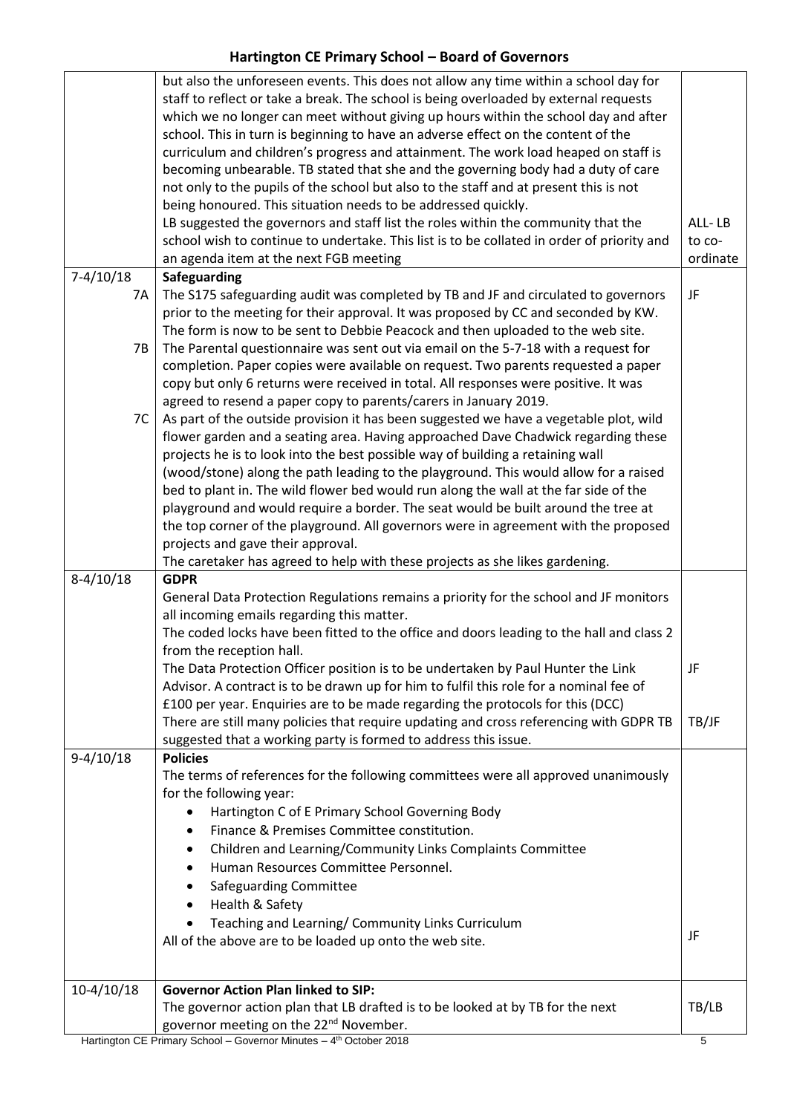|              | governor meeting on the 22 <sup>nd</sup> November.<br>Hartington CE Primary School - Governor Minutes - 4 <sup>th</sup> October 2018                                       | 5        |
|--------------|----------------------------------------------------------------------------------------------------------------------------------------------------------------------------|----------|
|              | The governor action plan that LB drafted is to be looked at by TB for the next                                                                                             | TB/LB    |
| $10-4/10/18$ | <b>Governor Action Plan linked to SIP:</b>                                                                                                                                 |          |
|              |                                                                                                                                                                            |          |
|              | All of the above are to be loaded up onto the web site.                                                                                                                    | JF       |
|              | Teaching and Learning/ Community Links Curriculum                                                                                                                          |          |
|              | Health & Safety                                                                                                                                                            |          |
|              | Safeguarding Committee                                                                                                                                                     |          |
|              | Human Resources Committee Personnel.                                                                                                                                       |          |
|              | Children and Learning/Community Links Complaints Committee                                                                                                                 |          |
|              | Finance & Premises Committee constitution.<br>$\bullet$                                                                                                                    |          |
|              | Hartington C of E Primary School Governing Body                                                                                                                            |          |
|              | The terms of references for the following committees were all approved unanimously<br>for the following year:                                                              |          |
| $9-4/10/18$  | <b>Policies</b>                                                                                                                                                            |          |
|              | suggested that a working party is formed to address this issue.                                                                                                            |          |
|              | There are still many policies that require updating and cross referencing with GDPR TB                                                                                     | TB/JF    |
|              | £100 per year. Enquiries are to be made regarding the protocols for this (DCC)                                                                                             |          |
|              | Advisor. A contract is to be drawn up for him to fulfil this role for a nominal fee of                                                                                     |          |
|              | The Data Protection Officer position is to be undertaken by Paul Hunter the Link                                                                                           | JF       |
|              | from the reception hall.                                                                                                                                                   |          |
|              | The coded locks have been fitted to the office and doors leading to the hall and class 2                                                                                   |          |
|              | General Data Protection Regulations remains a priority for the school and JF monitors<br>all incoming emails regarding this matter.                                        |          |
| $8-4/10/18$  | <b>GDPR</b>                                                                                                                                                                |          |
|              | The caretaker has agreed to help with these projects as she likes gardening.                                                                                               |          |
|              | projects and gave their approval.                                                                                                                                          |          |
|              | the top corner of the playground. All governors were in agreement with the proposed                                                                                        |          |
|              | playground and would require a border. The seat would be built around the tree at                                                                                          |          |
|              | bed to plant in. The wild flower bed would run along the wall at the far side of the                                                                                       |          |
|              | (wood/stone) along the path leading to the playground. This would allow for a raised                                                                                       |          |
|              | projects he is to look into the best possible way of building a retaining wall                                                                                             |          |
|              | flower garden and a seating area. Having approached Dave Chadwick regarding these                                                                                          |          |
| 7C           | As part of the outside provision it has been suggested we have a vegetable plot, wild                                                                                      |          |
|              | copy but only 6 returns were received in total. All responses were positive. It was<br>agreed to resend a paper copy to parents/carers in January 2019.                    |          |
|              | completion. Paper copies were available on request. Two parents requested a paper                                                                                          |          |
| 7B           | The Parental questionnaire was sent out via email on the 5-7-18 with a request for                                                                                         |          |
|              | The form is now to be sent to Debbie Peacock and then uploaded to the web site.                                                                                            |          |
|              | prior to the meeting for their approval. It was proposed by CC and seconded by KW.                                                                                         |          |
| 7A           | The S175 safeguarding audit was completed by TB and JF and circulated to governors                                                                                         | JF       |
| $7-4/10/18$  | Safeguarding                                                                                                                                                               |          |
|              | an agenda item at the next FGB meeting                                                                                                                                     | ordinate |
|              | school wish to continue to undertake. This list is to be collated in order of priority and                                                                                 | to co-   |
|              | LB suggested the governors and staff list the roles within the community that the                                                                                          | ALL-LB   |
|              | being honoured. This situation needs to be addressed quickly.                                                                                                              |          |
|              | becoming unbearable. TB stated that she and the governing body had a duty of care<br>not only to the pupils of the school but also to the staff and at present this is not |          |
|              | curriculum and children's progress and attainment. The work load heaped on staff is                                                                                        |          |
|              | school. This in turn is beginning to have an adverse effect on the content of the                                                                                          |          |
|              | which we no longer can meet without giving up hours within the school day and after                                                                                        |          |
|              | staff to reflect or take a break. The school is being overloaded by external requests                                                                                      |          |
|              | but also the unforeseen events. This does not allow any time within a school day for                                                                                       |          |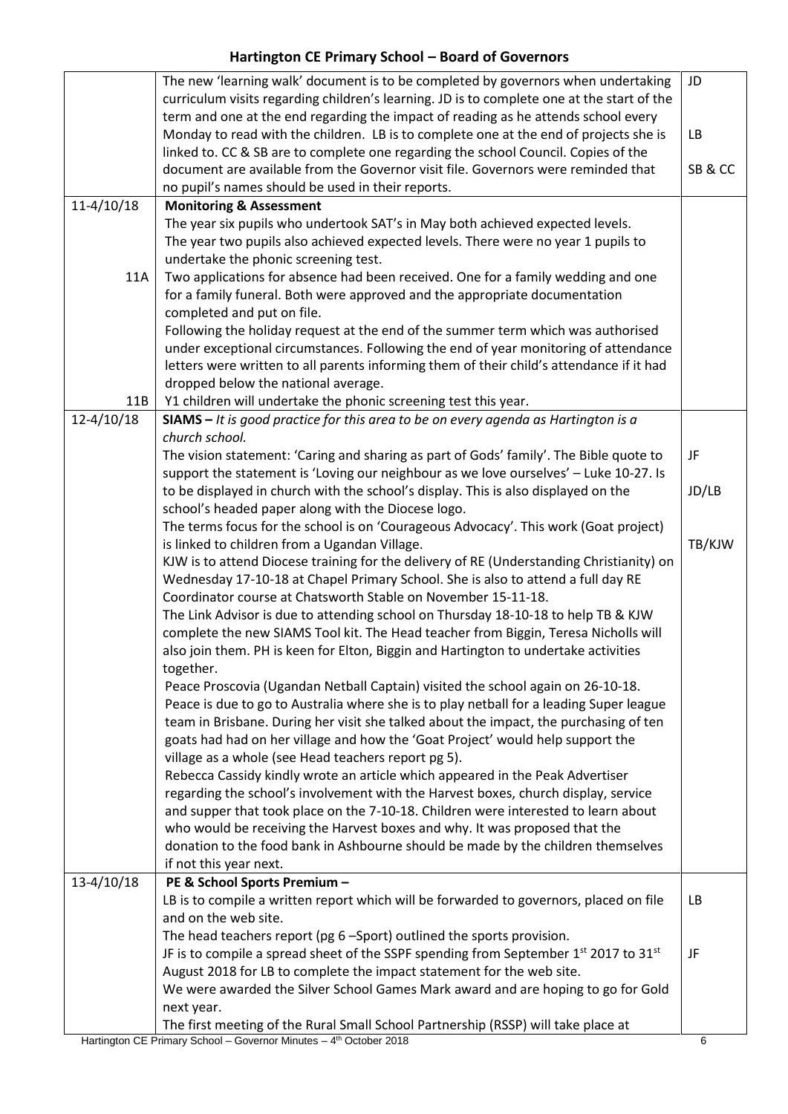|                | The new 'learning walk' document is to be completed by governors when undertaking                                                                                   | JD     |
|----------------|---------------------------------------------------------------------------------------------------------------------------------------------------------------------|--------|
|                | curriculum visits regarding children's learning. JD is to complete one at the start of the                                                                          |        |
|                | term and one at the end regarding the impact of reading as he attends school every                                                                                  |        |
|                | Monday to read with the children. LB is to complete one at the end of projects she is                                                                               | LB     |
|                | linked to. CC & SB are to complete one regarding the school Council. Copies of the                                                                                  |        |
|                | document are available from the Governor visit file. Governors were reminded that                                                                                   | SB&CC  |
|                | no pupil's names should be used in their reports.                                                                                                                   |        |
| $11-4/10/18$   | <b>Monitoring &amp; Assessment</b>                                                                                                                                  |        |
|                | The year six pupils who undertook SAT's in May both achieved expected levels.                                                                                       |        |
|                | The year two pupils also achieved expected levels. There were no year 1 pupils to                                                                                   |        |
|                | undertake the phonic screening test.                                                                                                                                |        |
| <b>11A</b>     | Two applications for absence had been received. One for a family wedding and one                                                                                    |        |
|                | for a family funeral. Both were approved and the appropriate documentation                                                                                          |        |
|                | completed and put on file.                                                                                                                                          |        |
|                | Following the holiday request at the end of the summer term which was authorised                                                                                    |        |
|                | under exceptional circumstances. Following the end of year monitoring of attendance                                                                                 |        |
|                | letters were written to all parents informing them of their child's attendance if it had                                                                            |        |
|                | dropped below the national average.                                                                                                                                 |        |
| 11B            | Y1 children will undertake the phonic screening test this year.                                                                                                     |        |
| $12 - 4/10/18$ | $SIAMS - It$ is good practice for this area to be on every agenda as Hartington is a                                                                                |        |
|                | church school.                                                                                                                                                      |        |
|                | The vision statement: 'Caring and sharing as part of Gods' family'. The Bible quote to                                                                              | JF     |
|                | support the statement is 'Loving our neighbour as we love ourselves' - Luke 10-27. Is                                                                               |        |
|                | to be displayed in church with the school's display. This is also displayed on the                                                                                  | JD/LB  |
|                | school's headed paper along with the Diocese logo.                                                                                                                  |        |
|                | The terms focus for the school is on 'Courageous Advocacy'. This work (Goat project)                                                                                |        |
|                | is linked to children from a Ugandan Village.                                                                                                                       | TB/KJW |
|                | KJW is to attend Diocese training for the delivery of RE (Understanding Christianity) on                                                                            |        |
|                | Wednesday 17-10-18 at Chapel Primary School. She is also to attend a full day RE                                                                                    |        |
|                | Coordinator course at Chatsworth Stable on November 15-11-18.                                                                                                       |        |
|                | The Link Advisor is due to attending school on Thursday 18-10-18 to help TB & KJW                                                                                   |        |
|                | complete the new SIAMS Tool kit. The Head teacher from Biggin, Teresa Nicholls will                                                                                 |        |
|                | also join them. PH is keen for Elton, Biggin and Hartington to undertake activities                                                                                 |        |
|                | together.                                                                                                                                                           |        |
|                | Peace Proscovia (Ugandan Netball Captain) visited the school again on 26-10-18.                                                                                     |        |
|                | Peace is due to go to Australia where she is to play netball for a leading Super league                                                                             |        |
|                | team in Brisbane. During her visit she talked about the impact, the purchasing of ten                                                                               |        |
|                | goats had had on her village and how the 'Goat Project' would help support the                                                                                      |        |
|                | village as a whole (see Head teachers report pg 5).                                                                                                                 |        |
|                | Rebecca Cassidy kindly wrote an article which appeared in the Peak Advertiser<br>regarding the school's involvement with the Harvest boxes, church display, service |        |
|                | and supper that took place on the 7-10-18. Children were interested to learn about                                                                                  |        |
|                | who would be receiving the Harvest boxes and why. It was proposed that the                                                                                          |        |
|                | donation to the food bank in Ashbourne should be made by the children themselves                                                                                    |        |
|                | if not this year next.                                                                                                                                              |        |
| $13-4/10/18$   | PE & School Sports Premium -                                                                                                                                        |        |
|                | LB is to compile a written report which will be forwarded to governors, placed on file                                                                              | LB     |
|                | and on the web site.                                                                                                                                                |        |
|                | The head teachers report (pg 6 -Sport) outlined the sports provision.                                                                                               |        |
|                | JF is to compile a spread sheet of the SSPF spending from September $1st$ 2017 to 31 <sup>st</sup>                                                                  | JF     |
|                | August 2018 for LB to complete the impact statement for the web site.                                                                                               |        |
|                | We were awarded the Silver School Games Mark award and are hoping to go for Gold                                                                                    |        |
|                | next year.                                                                                                                                                          |        |
|                | The first meeting of the Rural Small School Partnership (RSSP) will take place at                                                                                   |        |
|                |                                                                                                                                                                     |        |

Hartington CE Primary School – Governor Minutes – 4<sup>th</sup> October 2018 **68 and Container 1999** 66